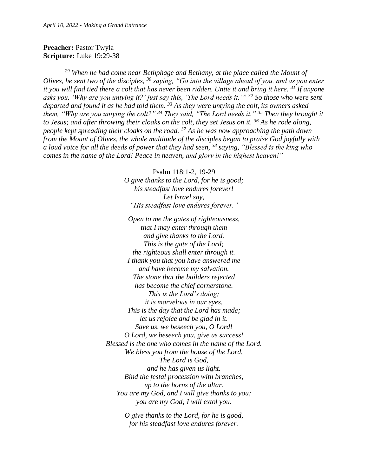## **Preacher:** Pastor Twyla **Scripture:** Luke 19:29-38

*<sup>29</sup> When he had come near Bethphage and Bethany, at the place called the Mount of Olives, he sent two of the disciples, <sup>30</sup> saying, "Go into the village ahead of you, and as you enter it you will find tied there a colt that has never been ridden. Untie it and bring it here. <sup>31</sup> If anyone asks you, 'Why are you untying it?' just say this, 'The Lord needs it.'" <sup>32</sup> So those who were sent departed and found it as he had told them. <sup>33</sup> As they were untying the colt, its owners asked them, "Why are you untying the colt?" <sup>34</sup> They said, "The Lord needs it." <sup>35</sup> Then they brought it to Jesus; and after throwing their cloaks on the colt, they set Jesus on it. <sup>36</sup> As he rode along, people kept spreading their cloaks on the road. <sup>37</sup> As he was now approaching the path down from the Mount of Olives, the whole multitude of the disciples began to praise God joyfully with a loud voice for all the deeds of power that they had seen, <sup>38</sup> saying, "Blessed is the king who comes in the name of the Lord! Peace in heaven, and glory in the highest heaven!"*

> Psalm 118:1-2, 19-29 *O give thanks to the Lord, for he is good; his steadfast love endures forever! Let Israel say, "His steadfast love endures forever."*

*Open to me the gates of righteousness, that I may enter through them and give thanks to the Lord. This is the gate of the Lord; the righteous shall enter through it. I thank you that you have answered me and have become my salvation. The stone that the builders rejected has become the chief cornerstone. This is the Lord's doing; it is marvelous in our eyes. This is the day that the Lord has made; let us rejoice and be glad in it. Save us, we beseech you, O Lord! O Lord, we beseech you, give us success! Blessed is the one who comes in the name of the Lord. We bless you from the house of the Lord. The Lord is God, and he has given us light. Bind the festal procession with branches, up to the horns of the altar. You are my God, and I will give thanks to you; you are my God; I will extol you.*

> *O give thanks to the Lord, for he is good, for his steadfast love endures forever.*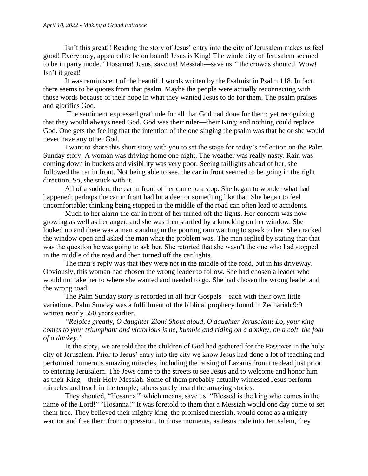Isn't this great!! Reading the story of Jesus' entry into the city of Jerusalem makes us feel good! Everybody, appeared to be on board! Jesus is King! The whole city of Jerusalem seemed to be in party mode. "Hosanna! Jesus, save us! Messiah—save us!" the crowds shouted. Wow! Isn't it great!

It was reminiscent of the beautiful words written by the Psalmist in Psalm 118. In fact, there seems to be quotes from that psalm. Maybe the people were actually reconnecting with those words because of their hope in what they wanted Jesus to do for them. The psalm praises and glorifies God.

The sentiment expressed gratitude for all that God had done for them; yet recognizing that they would always need God. God was their ruler—their King; and nothing could replace God. One gets the feeling that the intention of the one singing the psalm was that he or she would never have any other God.

I want to share this short story with you to set the stage for today's reflection on the Palm Sunday story. A woman was driving home one night. The weather was really nasty. Rain was coming down in buckets and visibility was very poor. Seeing taillights ahead of her, she followed the car in front. Not being able to see, the car in front seemed to be going in the right direction. So, she stuck with it.

All of a sudden, the car in front of her came to a stop. She began to wonder what had happened; perhaps the car in front had hit a deer or something like that. She began to feel uncomfortable; thinking being stopped in the middle of the road can often lead to accidents.

Much to her alarm the car in front of her turned off the lights. Her concern was now growing as well as her anger, and she was then startled by a knocking on her window. She looked up and there was a man standing in the pouring rain wanting to speak to her. She cracked the window open and asked the man what the problem was. The man replied by stating that that was the question he was going to ask her. She retorted that she wasn't the one who had stopped in the middle of the road and then turned off the car lights.

The man's reply was that they were not in the middle of the road, but in his driveway. Obviously, this woman had chosen the wrong leader to follow. She had chosen a leader who would not take her to where she wanted and needed to go. She had chosen the wrong leader and the wrong road.

The Palm Sunday story is recorded in all four Gospels—each with their own little variations. Palm Sunday was a fulfillment of the biblical prophecy found in Zechariah 9:9 written nearly 550 years earlier.

*"Rejoice greatly, O daughter Zion! Shout aloud, O daughter Jerusalem! Lo, your king comes to you; triumphant and victorious is he, humble and riding on a donkey, on a colt, the foal of a donkey."* 

In the story, we are told that the children of God had gathered for the Passover in the holy city of Jerusalem. Prior to Jesus' entry into the city we know Jesus had done a lot of teaching and performed numerous amazing miracles, including the raising of Lazarus from the dead just prior to entering Jerusalem. The Jews came to the streets to see Jesus and to welcome and honor him as their King—their Holy Messiah. Some of them probably actually witnessed Jesus perform miracles and teach in the temple; others surely heard the amazing stories.

They shouted, "Hosanna!" which means, save us! "Blessed is the king who comes in the name of the Lord!" "Hosanna!" It was foretold to them that a Messiah would one day come to set them free. They believed their mighty king, the promised messiah, would come as a mighty warrior and free them from oppression. In those moments, as Jesus rode into Jerusalem, they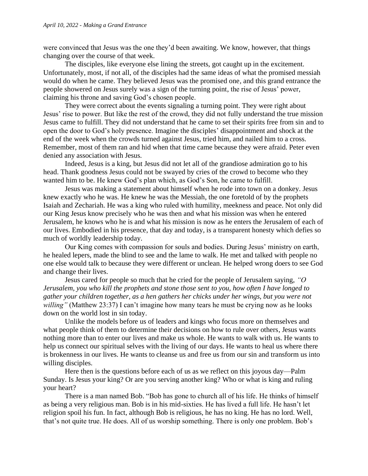were convinced that Jesus was the one they'd been awaiting. We know, however, that things changing over the course of that week.

The disciples, like everyone else lining the streets, got caught up in the excitement. Unfortunately, most, if not all, of the disciples had the same ideas of what the promised messiah would do when he came. They believed Jesus was the promised one, and this grand entrance the people showered on Jesus surely was a sign of the turning point, the rise of Jesus' power, claiming his throne and saving God's chosen people.

They were correct about the events signaling a turning point. They were right about Jesus' rise to power. But like the rest of the crowd, they did not fully understand the true mission Jesus came to fulfill. They did not understand that he came to set their spirits free from sin and to open the door to God's holy presence. Imagine the disciples' disappointment and shock at the end of the week when the crowds turned against Jesus, tried him, and nailed him to a cross. Remember, most of them ran and hid when that time came because they were afraid. Peter even denied any association with Jesus.

Indeed, Jesus is a king, but Jesus did not let all of the grandiose admiration go to his head. Thank goodness Jesus could not be swayed by cries of the crowd to become who they wanted him to be. He knew God's plan which, as God's Son, he came to fulfill.

Jesus was making a statement about himself when he rode into town on a donkey. Jesus knew exactly who he was. He knew he was the Messiah, the one foretold of by the prophets Isaiah and Zechariah. He was a king who ruled with humility, meekness and peace. Not only did our King Jesus know precisely who he was then and what his mission was when he entered Jerusalem, he knows who he is and what his mission is now as he enters the Jerusalem of each of our lives. Embodied in his presence, that day and today, is a transparent honesty which defies so much of worldly leadership today.

Our King comes with compassion for souls and bodies. During Jesus' ministry on earth, he healed lepers, made the blind to see and the lame to walk. He met and talked with people no one else would talk to because they were different or unclean. He helped wrong doers to see God and change their lives.

Jesus cared for people so much that he cried for the people of Jerusalem saying, *"O Jerusalem, you who kill the prophets and stone those sent to you, how often I have longed to gather your children together, as a hen gathers her chicks under her wings, but you were not willing*" (Matthew 23:37) I can't imagine how many tears he must be crying now as he looks down on the world lost in sin today.

Unlike the models before us of leaders and kings who focus more on themselves and what people think of them to determine their decisions on how to rule over others, Jesus wants nothing more than to enter our lives and make us whole. He wants to walk with us. He wants to help us connect our spiritual selves with the living of our days. He wants to heal us where there is brokenness in our lives. He wants to cleanse us and free us from our sin and transform us into willing disciples.

Here then is the questions before each of us as we reflect on this joyous day—Palm Sunday. Is Jesus your king? Or are you serving another king? Who or what is king and ruling your heart?

There is a man named Bob. "Bob has gone to church all of his life. He thinks of himself as being a very religious man. Bob is in his mid-sixties. He has lived a full life. He hasn't let religion spoil his fun. In fact, although Bob is religious, he has no king. He has no lord. Well, that's not quite true. He does. All of us worship something. There is only one problem. Bob's